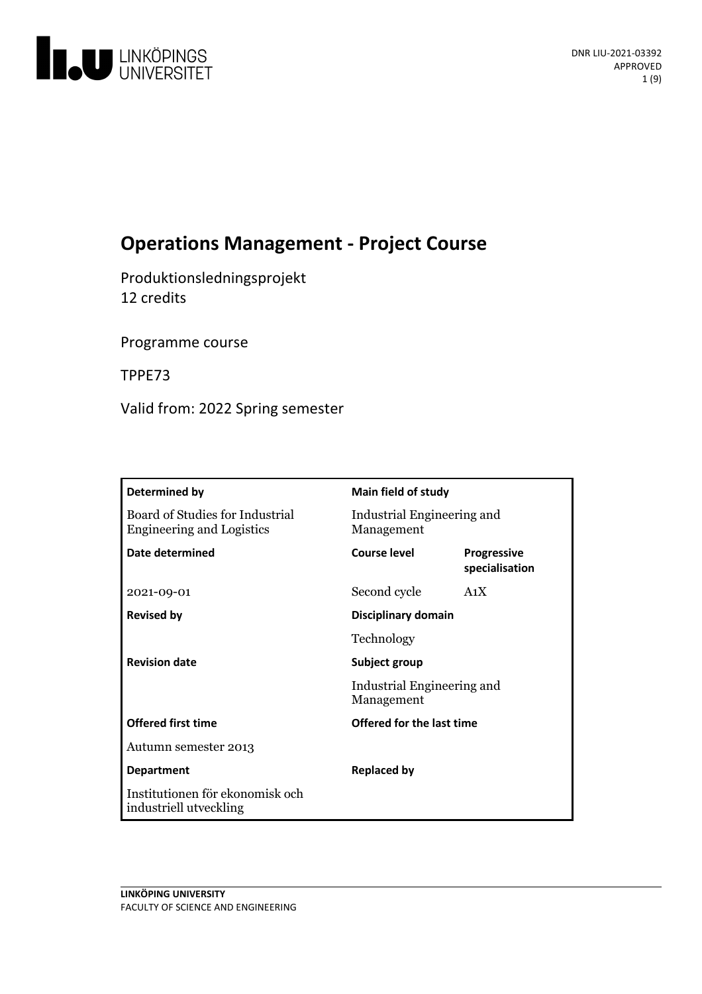

# **Operations Management - Project Course**

Produktionsledningsprojekt 12 credits

Programme course

TPPE73

Valid from: 2022 Spring semester

| Determined by                                                       | Main field of study                      |                                      |
|---------------------------------------------------------------------|------------------------------------------|--------------------------------------|
| Board of Studies for Industrial<br><b>Engineering and Logistics</b> | Industrial Engineering and<br>Management |                                      |
| <b>Date determined</b>                                              | Course level                             | <b>Progressive</b><br>specialisation |
| 2021-09-01                                                          | Second cycle                             | A <sub>1</sub> X                     |
| <b>Revised by</b>                                                   | Disciplinary domain                      |                                      |
|                                                                     | Technology                               |                                      |
| <b>Revision date</b>                                                | Subject group                            |                                      |
|                                                                     | Industrial Engineering and<br>Management |                                      |
| <b>Offered first time</b>                                           | Offered for the last time                |                                      |
| Autumn semester 2013                                                |                                          |                                      |
| <b>Department</b>                                                   | <b>Replaced by</b>                       |                                      |
| Institutionen för ekonomisk och<br>industriell utveckling           |                                          |                                      |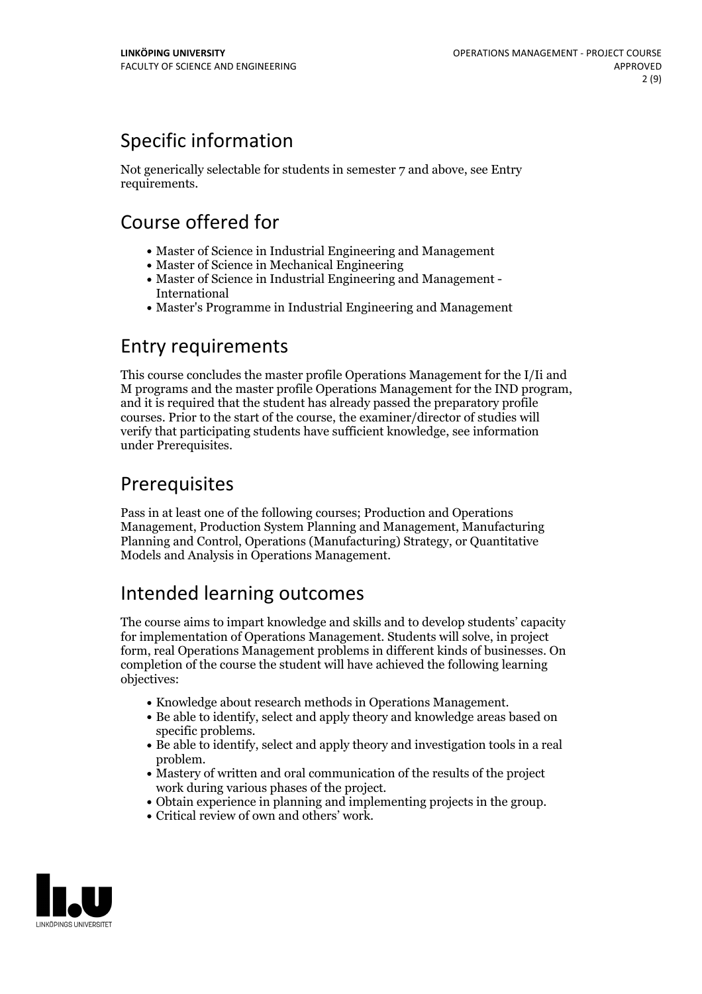# Specific information

Not generically selectable for students in semester 7 and above, see Entry requirements.

# Course offered for

- Master of Science in Industrial Engineering and Management
- Master of Science in Mechanical Engineering
- Master of Science in Industrial Engineering and Management International
- Master's Programme in Industrial Engineering and Management

## Entry requirements

This course concludes the master profile Operations Management for the I/Ii and <sup>M</sup> programs and the master profile Operations Management for the IND program, and it is required that the student has already passed the preparatory profile courses. Prior to the start of the course, the examiner/director of studies will verify that participating students have sufficient knowledge, see information under Prerequisites.

## **Prerequisites**

Pass in at least one of the following courses; Production and Operations Management, Production System Planning and Management, Manufacturing Planning and Control, Operations (Manufacturing) Strategy, or Quantitative Models and Analysis in Operations Management.

# Intended learning outcomes

The course aims to impart knowledge and skills and to develop students' capacity for implementation of Operations Management. Students will solve, in project form, real Operations Management problems in different kinds of businesses. On completion of the course the student will have achieved the following learning objectives:

- 
- Knowledge about research methods in Operations Management.<br>• Be able to identify, select and apply theory and knowledge areas based on
- specific problems.<br>• Be able to identify, select and apply theory and investigation tools in a real
- problem.<br>• Mastery of written and oral communication of the results of the project
- work during various phases of the project.<br>• Obtain experience in planning and implementing projects in the group.<br>• Critical review of own and others' work.
- 

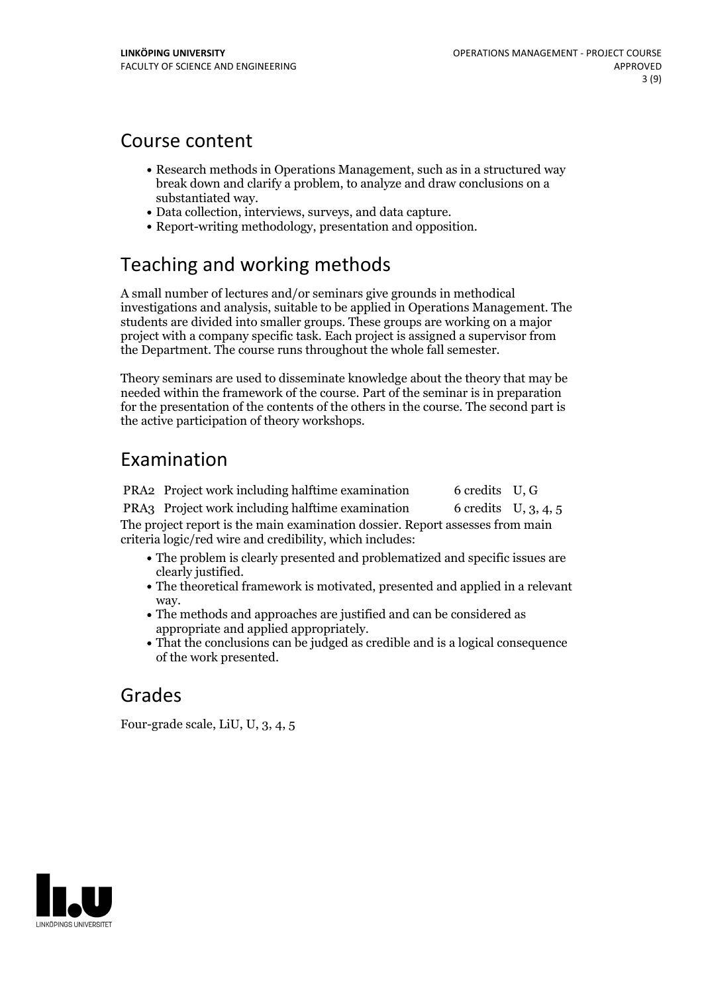## Course content

- Research methods in Operations Management, such as in a structured way break down and clarify a problem, to analyze and draw conclusions on a
- substantiated way.<br>• Data collection, interviews, surveys, and data capture.<br>• Report-writing methodology, presentation and opposition.
- 

## Teaching and working methods

A small number of lectures and/or seminars give grounds in methodical investigations and analysis, suitable to be applied in Operations Management. The students are divided into smaller groups. These groups are working on a major project with a company specific task. Each project is assigned a supervisor from the Department. The course runs throughout the whole fall semester.

Theory seminars are used to disseminate knowledge about the theory that may be needed within the framework of the course. Part of the seminar is in preparation for the presentation of the contents of the others in the course. The second part is the active participation of theory workshops.

## Examination

PRA2 Project work including halftime examination 6 credits U, G PRA3 Project work including halftime examination 6 credits U, 3, 4, 5 The project report is the main examination dossier. Report assesses from main criteria logic/red wire and credibility, which includes:

- The problem is clearly presented and problematized and specific issues are
- clearly justified. The theoretical framework is motivated, presented and applied in <sup>a</sup> relevant
- way. The methods and approaches are justified and can be considered as
- appropriate and applied appropriately. That the conclusions can be judged as credible and is <sup>a</sup> logical consequence of the work presented.

## Grades

Four-grade scale, LiU, U, 3, 4, 5

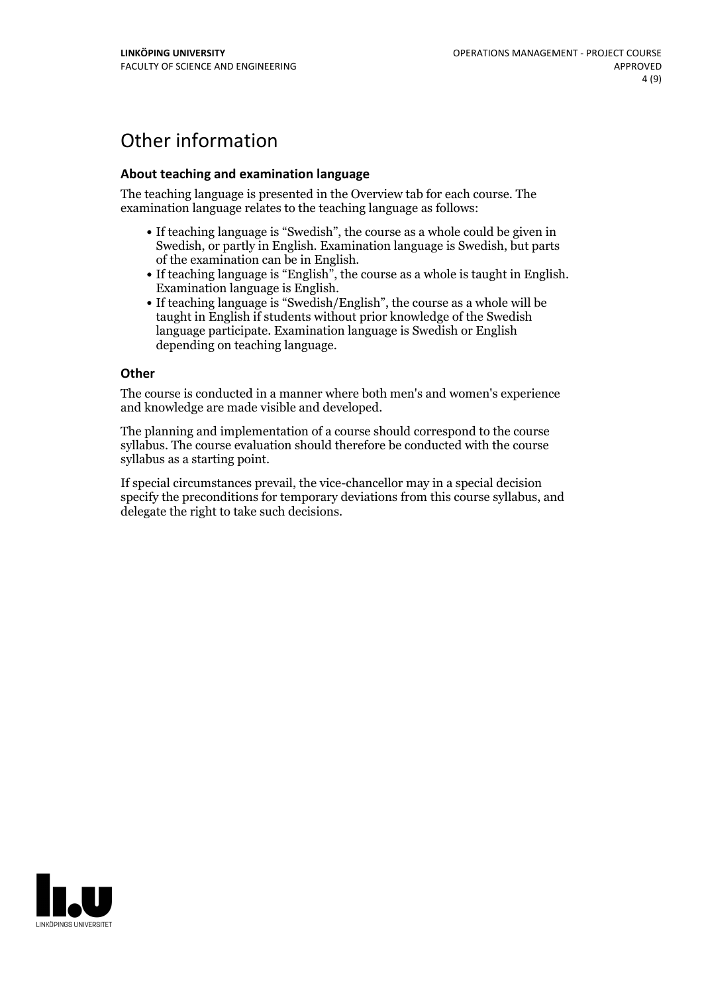# Other information

### **About teaching and examination language**

The teaching language is presented in the Overview tab for each course. The examination language relates to the teaching language as follows:

- If teaching language is "Swedish", the course as a whole could be given in Swedish, or partly in English. Examination language is Swedish, but parts
- of the examination can be in English. If teaching language is "English", the course as <sup>a</sup> whole is taught in English. Examination language is English. If teaching language is "Swedish/English", the course as <sup>a</sup> whole will be
- taught in English if students without prior knowledge of the Swedish language participate. Examination language is Swedish or English depending on teaching language.

#### **Other**

The course is conducted in a manner where both men's and women's experience and knowledge are made visible and developed.

The planning and implementation of a course should correspond to the course syllabus. The course evaluation should therefore be conducted with the course syllabus as a starting point.

If special circumstances prevail, the vice-chancellor may in a special decision specify the preconditions for temporary deviations from this course syllabus, and delegate the right to take such decisions.

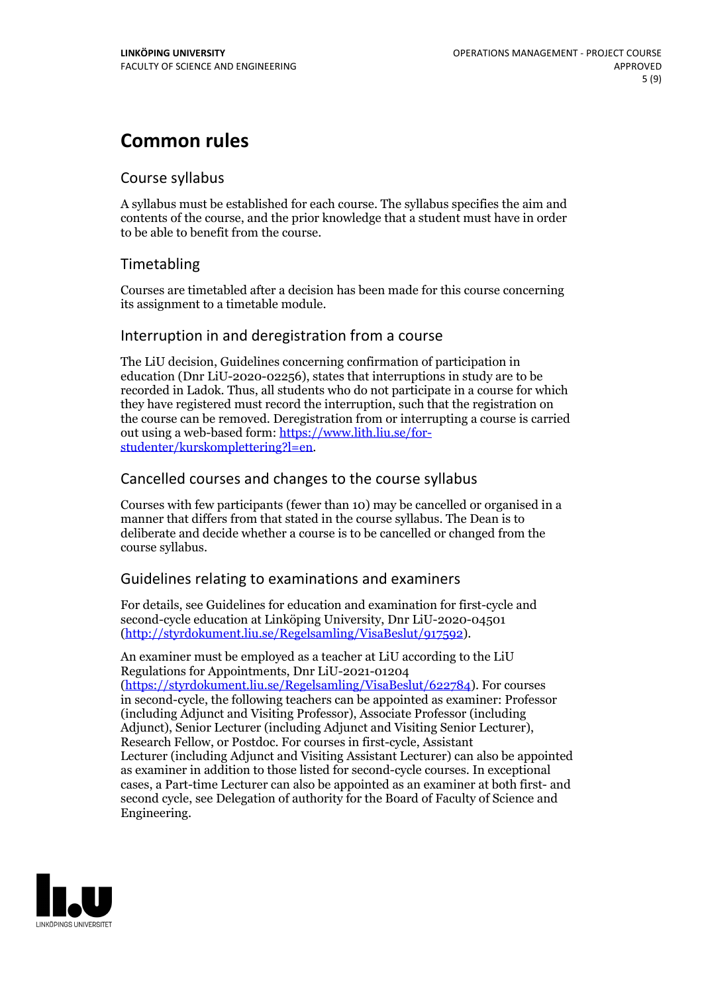# **Common rules**

## Course syllabus

A syllabus must be established for each course. The syllabus specifies the aim and contents of the course, and the prior knowledge that a student must have in order to be able to benefit from the course.

## Timetabling

Courses are timetabled after a decision has been made for this course concerning its assignment to a timetable module.

## Interruption in and deregistration from a course

The LiU decision, Guidelines concerning confirmation of participation in education (Dnr LiU-2020-02256), states that interruptions in study are to be recorded in Ladok. Thus, all students who do not participate in a course for which they have registered must record the interruption, such that the registration on the course can be removed. Deregistration from or interrupting a course is carried out using <sup>a</sup> web-based form: https://www.lith.liu.se/for- [studenter/kurskomplettering?l=en.](https://www.lith.liu.se/for-studenter/kurskomplettering?l=en)

## Cancelled courses and changes to the course syllabus

Courses with few participants (fewer than 10) may be cancelled or organised in a manner that differs from that stated in the course syllabus. The Dean is to deliberate and decide whether a course is to be cancelled or changed from the course syllabus.

## Guidelines relating to examinations and examiners

For details, see Guidelines for education and examination for first-cycle and second-cycle education at Linköping University, Dnr LiU-2020-04501 [\(http://styrdokument.liu.se/Regelsamling/VisaBeslut/917592\)](http://styrdokument.liu.se/Regelsamling/VisaBeslut/917592).

An examiner must be employed as a teacher at LiU according to the LiU Regulations for Appointments, Dnr LiU-2021-01204 [\(https://styrdokument.liu.se/Regelsamling/VisaBeslut/622784](https://styrdokument.liu.se/Regelsamling/VisaBeslut/622784)). For courses in second-cycle, the following teachers can be appointed as examiner: Professor (including Adjunct and Visiting Professor), Associate Professor (including Adjunct), Senior Lecturer (including Adjunct and Visiting Senior Lecturer), Research Fellow, or Postdoc. For courses in first-cycle, Assistant Lecturer (including Adjunct and Visiting Assistant Lecturer) can also be appointed as examiner in addition to those listed for second-cycle courses. In exceptional cases, a Part-time Lecturer can also be appointed as an examiner at both first- and second cycle, see Delegation of authority for the Board of Faculty of Science and Engineering.

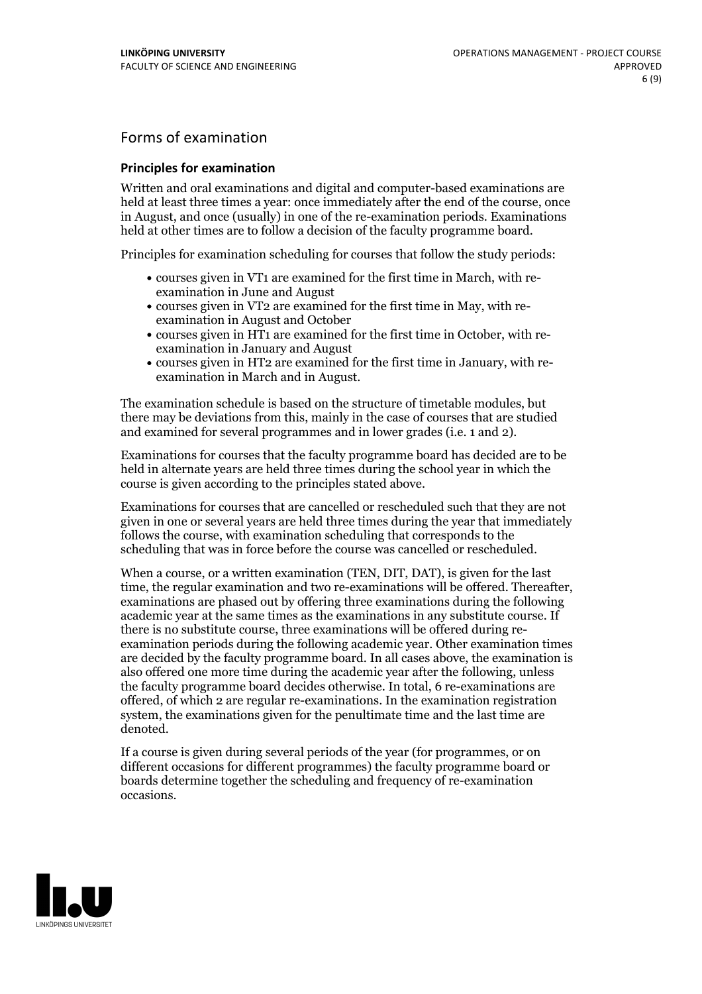## Forms of examination

#### **Principles for examination**

Written and oral examinations and digital and computer-based examinations are held at least three times a year: once immediately after the end of the course, once in August, and once (usually) in one of the re-examination periods. Examinations held at other times are to follow a decision of the faculty programme board.

Principles for examination scheduling for courses that follow the study periods:

- courses given in VT1 are examined for the first time in March, with re-examination in June and August
- courses given in VT2 are examined for the first time in May, with re-examination in August and October
- courses given in HT1 are examined for the first time in October, with re-examination in January and August
- courses given in HT2 are examined for the first time in January, with re-examination in March and in August.

The examination schedule is based on the structure of timetable modules, but there may be deviations from this, mainly in the case of courses that are studied and examined for several programmes and in lower grades (i.e. 1 and 2).

Examinations for courses that the faculty programme board has decided are to be held in alternate years are held three times during the school year in which the course is given according to the principles stated above.

Examinations for courses that are cancelled orrescheduled such that they are not given in one or several years are held three times during the year that immediately follows the course, with examination scheduling that corresponds to the scheduling that was in force before the course was cancelled or rescheduled.

When a course, or a written examination (TEN, DIT, DAT), is given for the last time, the regular examination and two re-examinations will be offered. Thereafter, examinations are phased out by offering three examinations during the following academic year at the same times as the examinations in any substitute course. If there is no substitute course, three examinations will be offered during re- examination periods during the following academic year. Other examination times are decided by the faculty programme board. In all cases above, the examination is also offered one more time during the academic year after the following, unless the faculty programme board decides otherwise. In total, 6 re-examinations are offered, of which 2 are regular re-examinations. In the examination registration system, the examinations given for the penultimate time and the last time are denoted.

If a course is given during several periods of the year (for programmes, or on different occasions for different programmes) the faculty programme board or boards determine together the scheduling and frequency of re-examination occasions.

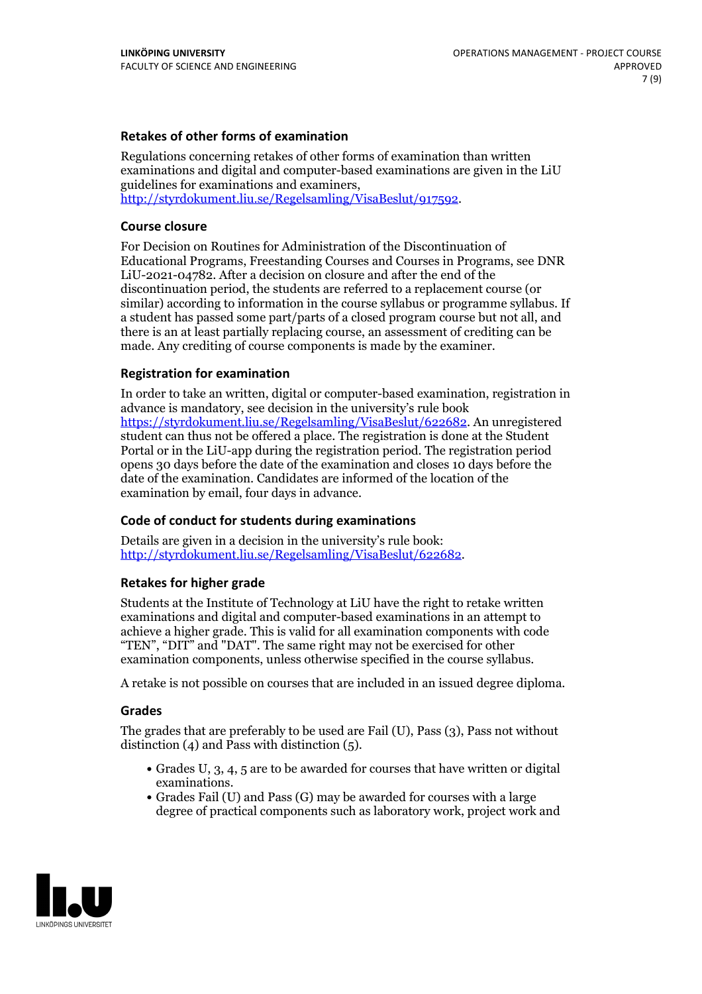### **Retakes of other forms of examination**

Regulations concerning retakes of other forms of examination than written examinations and digital and computer-based examinations are given in the LiU guidelines for examinations and examiners, [http://styrdokument.liu.se/Regelsamling/VisaBeslut/917592.](http://styrdokument.liu.se/Regelsamling/VisaBeslut/917592)

#### **Course closure**

For Decision on Routines for Administration of the Discontinuation of Educational Programs, Freestanding Courses and Courses in Programs, see DNR LiU-2021-04782. After a decision on closure and after the end of the discontinuation period, the students are referred to a replacement course (or similar) according to information in the course syllabus or programme syllabus. If a student has passed some part/parts of a closed program course but not all, and there is an at least partially replacing course, an assessment of crediting can be made. Any crediting of course components is made by the examiner.

### **Registration for examination**

In order to take an written, digital or computer-based examination, registration in advance is mandatory, see decision in the university's rule book [https://styrdokument.liu.se/Regelsamling/VisaBeslut/622682.](https://styrdokument.liu.se/Regelsamling/VisaBeslut/622682) An unregistered student can thus not be offered a place. The registration is done at the Student Portal or in the LiU-app during the registration period. The registration period opens 30 days before the date of the examination and closes 10 days before the date of the examination. Candidates are informed of the location of the examination by email, four days in advance.

### **Code of conduct for students during examinations**

Details are given in a decision in the university's rule book: <http://styrdokument.liu.se/Regelsamling/VisaBeslut/622682>.

#### **Retakes for higher grade**

Students at the Institute of Technology at LiU have the right to retake written examinations and digital and computer-based examinations in an attempt to achieve a higher grade. This is valid for all examination components with code "TEN", "DIT" and "DAT". The same right may not be exercised for other examination components, unless otherwise specified in the course syllabus.

A retake is not possible on courses that are included in an issued degree diploma.

#### **Grades**

The grades that are preferably to be used are Fail (U), Pass (3), Pass not without distinction  $(4)$  and Pass with distinction  $(5)$ .

- Grades U, 3, 4, 5 are to be awarded for courses that have written or digital examinations.<br>• Grades Fail (U) and Pass (G) may be awarded for courses with a large
- degree of practical components such as laboratory work, project work and

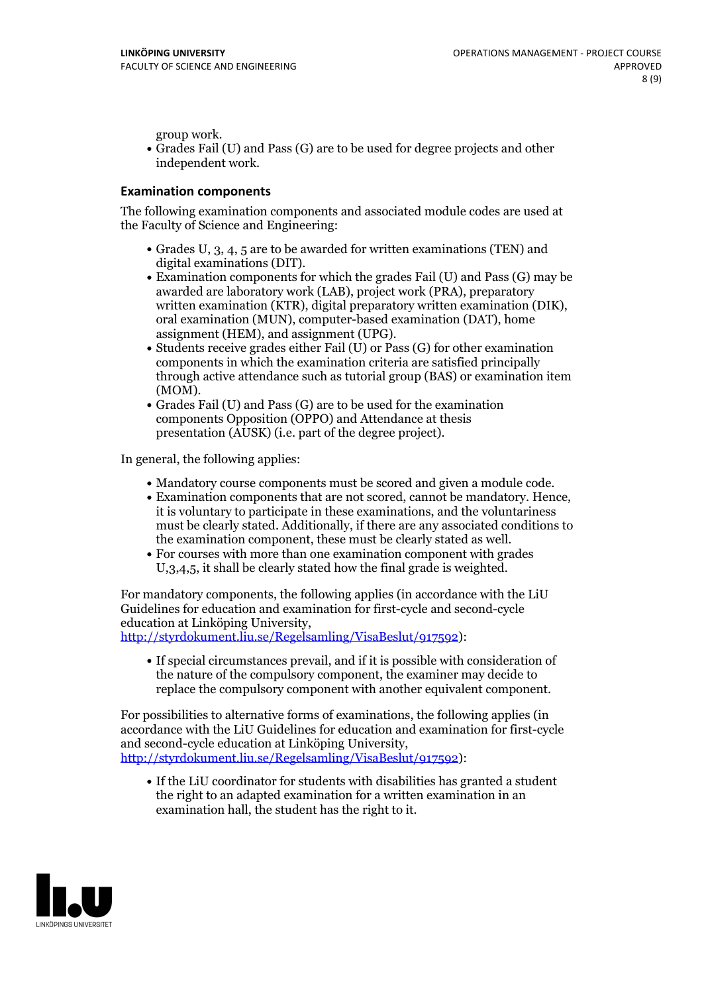group work.<br>• Grades Fail (U) and Pass (G) are to be used for degree projects and other independent work.

### **Examination components**

The following examination components and associated module codes are used at the Faculty of Science and Engineering:

- Grades U, 3, 4, 5 are to be awarded for written examinations (TEN) and
- digital examinations (DIT).<br>• Examination components for which the grades Fail (U) and Pass (G) may be awarded are laboratory work (LAB), project work (PRA), preparatory written examination (KTR), digital preparatory written examination (DIK), oral examination (MUN), computer-based examination (DAT), home
- assignment (HEM), and assignment (UPG).<br>• Students receive grades either Fail (U) or Pass (G) for other examination components in which the examination criteria are satisfied principally through active attendance such as tutorial group (BAS) or examination item
- (MOM).<br>• Grades Fail (U) and Pass (G) are to be used for the examination components Opposition (OPPO) and Attendance at thesis presentation (AUSK) (i.e. part of the degree project).

In general, the following applies:

- 
- Mandatory course components must be scored and given <sup>a</sup> module code. Examination components that are not scored, cannot be mandatory. Hence, it is voluntary to participate in these examinations, and the voluntariness must be clearly stated. Additionally, if there are any associated conditions to
- the examination component, these must be clearly stated as well. For courses with more than one examination component with grades U,3,4,5, it shall be clearly stated how the final grade is weighted.

For mandatory components, the following applies (in accordance with the LiU Guidelines for education and examination for first-cycle and second-cycle

[http://styrdokument.liu.se/Regelsamling/VisaBeslut/917592\)](http://styrdokument.liu.se/Regelsamling/VisaBeslut/917592):

If special circumstances prevail, and if it is possible with consideration of the nature of the compulsory component, the examiner may decide to replace the compulsory component with another equivalent component.

For possibilities to alternative forms of examinations, the following applies (in accordance with the LiU Guidelines for education and examination for first-cycle [http://styrdokument.liu.se/Regelsamling/VisaBeslut/917592\)](http://styrdokument.liu.se/Regelsamling/VisaBeslut/917592):

If the LiU coordinator for students with disabilities has granted a student the right to an adapted examination for a written examination in an examination hall, the student has the right to it.